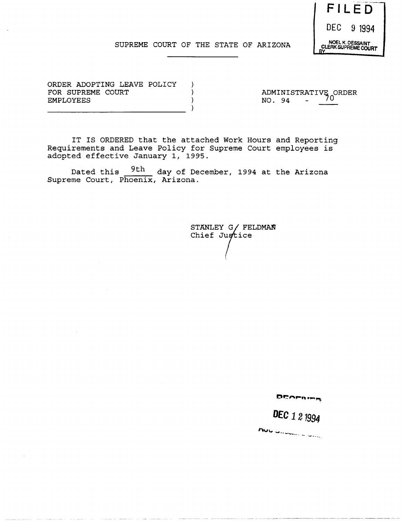

#### SUPREME COURT OF THE STATE OF ARIZONA

ORDER ADOPTING LEAVE POLICY FOR SUPREME COURT EMPLOYEES

ADMINISTRATIVE ORDER NO. 94 70

IT IS ORDERED that the attached Work Hours and Reporting Requirements and Leave Policy for Supreme Court employees is adopted effective January 1, 1995.

 $\rightarrow$  $\lambda$  $\lambda$  $\lambda$ 

Dated this  $\frac{9th}{ }$  day of December, 1994 at the Arizona Supreme Court, Phoenix, Arizona.

> STANLEY G/ FELDMAN Chief Justice

> > DEAFRIER

*DEC 121994* 

not convent a com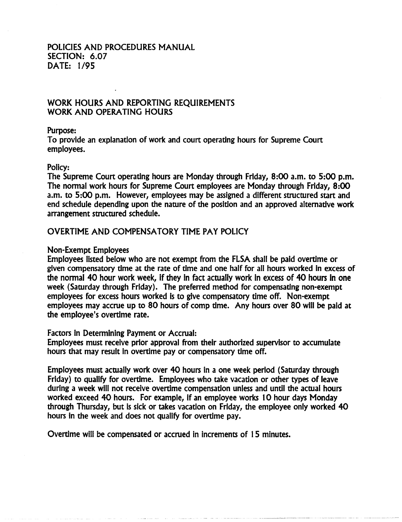# POLICIES AND PROCEDURES MANUAL SECTION: 6.07 DATE: 1/95

# WORK HOURS AND REPORTING REQUIREMENTS WORK AND OPERATING HOURS

### Purpose:

To provide an explanation of work and court operating hours for Supreme Court employees.

### Policy:

The Supreme Court operating hours are Monday through Friday, 8:00 a.m. to 5:00 p.m. The normal work hours for Supreme Court employees are Monday through Friday, 8:00 a.m. to 5:00 p.m. However, employees may be assigned a different structured start and end schedule depending upon the nature of the position and an approved alternative work arrangement structured schedule.

# OVERTIME AND COMPENSATORY TIME PAY POLICY

### Non-Exempt Employees

Employees listed below who are not exempt from the FLSA shall be paid overtime or given compensatory time at the rate of time and one half for all hours worked in excess of the normal 40 hour work week, if they in fact actually work in excess of 40 hours in one week (Saturday through Friday). The preferred method for compensating non-exempt employees for excess hours worked is to give compensatory time off. Non-exempt employees may accrue up to 80 hours of comp time. Any hours over 80 will be paid at the employee's overtime rate.

#### Factors in Determining Payment or Accrual:

Employees must receive prior approval from their authorized supervisor to accumulate hours that may result in overtime pay or compensatory time off.

Employees must actually work over 40 hours in a one week period (Saturday through Friday) to qualify for overtime. Employees who take vacation or other types of leave during a week will not receive overtime compensation unless and until the actual hours worked exceed 40 hours. For example, if an employee works 10 hour days Monday through Thursday, but is sick or takes vacation on Friday, the employee only worked 40 hours in the week and does not qualify for overtime pay.

Overtime will be compensated or accrued in increments of 1 5 minutes.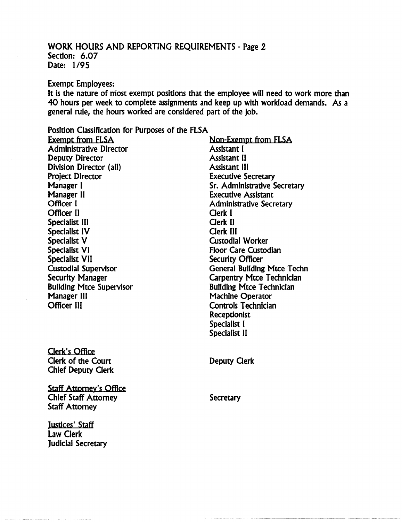## WORK HOURS AND REPORTING REQUIREMENTS - Page 2 Section: 6.07 Date: 1/95

#### Exempt Employees:

It is the nature of most exempt positions that the employee will need to work more than 40 hours per week to complete assignments and keep up with workload demands. As a general rule, the hours worked are considered part of the job.

## Position Classification for Purposes of the ELSA

Exempt from ELSA Administrative Director Deputy Director Division Director (all) Project Director Manager I Manager II Officer I Officer II Specialist III Specialist IV Specialist V Specialist VI Specialist VII Custodial Supervisor Security Manager Building Mtce Supervisor Manager III Officer III

Non-Exempt from FLSA Assistant I Assistant II Assistant III Executive Secretary Sr. Administrative Secretary Executive Assistant Administrative Secretary Clerk I Clerk II Clerk III Custodial Worker Floor Care Custodian Security Officer General Building Mtce Techn Carpentry Mtce Technician Building Mtce Technician Machine Operator Controls Technician Receptionist Specialist I Specialist II

Clerk's Office Clerk of the Court Chief Deputy Clerk

Staff Attorney's Office Chief Staff Attorney Staff Attorney

Justices' Staff Law Clerk Judicial Secretary Deputy Clerk

**Secretary**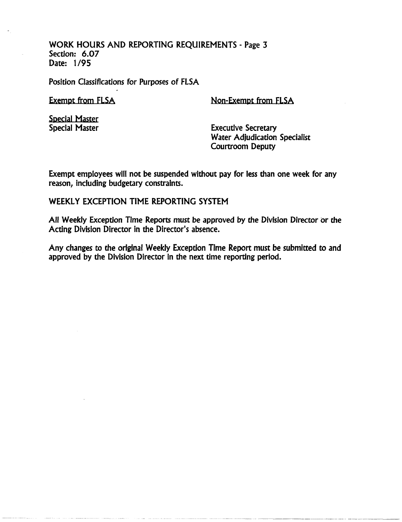WORK HOURS AND REPORTING REQUIREMENTS - Page 3 Section: 6.07 Date: 1/95

Position Classifications for Purposes of FlSA

Exempt from FlSA

Non-Exempt from FlSA

Special Master Special Master

Executive Secretary Water Adjudication Specialist Courtroom Deputy

Exempt employees will not be suspended without pay for less than one week for any reason, including budgetary constraints.

WEEKLY EXCEPTION TIME REPORTING SYSTEM

All Weekly Exception Time Reports must be approved by the Division Director or the Acting Division Director in the Director's absence.

Any changes to the original Weekly Exception Time Report must be submitted to and approved by the Division Director in the next time reporting period.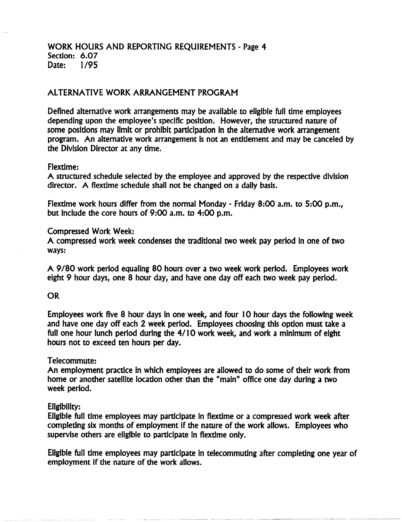## WORK HOURS AND REPORTING REQUIREMENTS - Page 4 Section: 6.07<br>Date: 1/95 Date:

# ALTERNATIVE WORK ARRANGEMENT PROGRAM

Defined alternative work arrangements may be available to eligible full time employees depending upon the employee's specific position. However, the structured nature of some positions may limit or prohibit participation in the alternative work arrangement program. An alternative work arrangement is not an entitlement and may be canceled by the Division Director at any time.

### Flextime:

A structured schedule selected by the employee and approved by the respective division director. A flextime schedule shall not be changed on a daily basis.

Flextime work hours differ from the normal Monday - Friday 8:00 a.m. to 5:00 p.m., but Indude the core hours of 9:00 a.m. to 4:00 p.m.

### Compressed Work Week:

A compressed work week condenses the traditional two week pay period in one of two ways:

A 9/80 work period equaling 80 hours over a two week work period. Employees work eight 9 hour days, one 8 hour day, and have one day off each two week pay period.

### **OR**

Employees work flve 8 hour days in one week, and four 10 hour days the following week and have one day off each 2 week period. Employees choosing this option must take a full one hour lunch period during the 4/10 work week, and work a minimum of eight hours not to exceed ten hours per day.

## Telecommute:

An employment practice in which employees are allowed to do some of their work from home or another satellite location other than the "main" office one day during a two week period.

## Eligibility:

Eligible full time employees may participate in flextime or a compressed work week after completing six months of employment If the nature of the work allows. Employees who supervise others are eligible to participate in flextime only.

Eligible full time employees may participate in telecommuting after completing one year of employment if the nature of the work allows.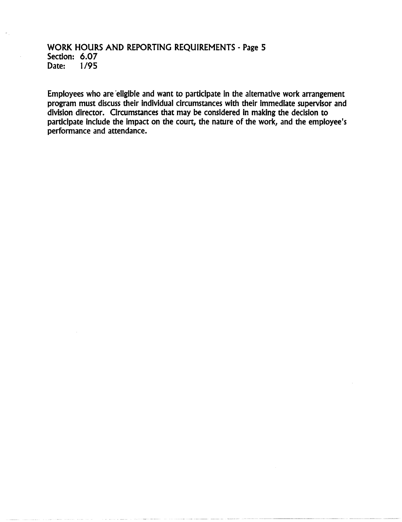# WORK HOURS AND REPORTING REQUIREMENTS - Page 5 Section: 6.07<br>Date: 1/95 Date:

Employees who are 'eligible and want to participate in the alternative work arrangement program must discuss their individual circumstances with their immediate supervisor and division director. Circumstances that may be considered in making the decision to participate include the impact on the court, the nature of the work, and the employee's performance and attendance.

------------\_.\_--- --- ----.-- ~----- ~---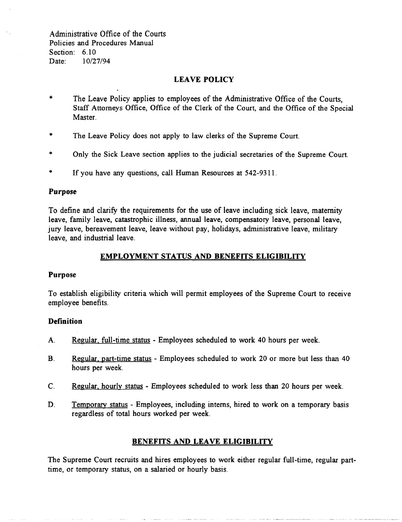Administrative Office of the Courts Policies and Procedures Manual Section: 6.10 Date: 10/27/94

## LEAVE POLICY

- \* The Leave Policy applies to employees of the Administrative Office of the Courts, Staff Attorneys Office, Office of the Clerk of the Court, and the Office of the Special Master.
- \* The Leave Policy does not apply to law clerks of the Supreme Court.
- \* Only the Sick Leave section applies to the judicial secretaries of the Supreme Court.
- \* If you have any questions, call Human Resources at 542-9311.

#### Purpose

To define and clarify the requirements for the use of leave including sick leave, maternity leave, family leave, catastrophic illness, annual leave, compensatory leave, personal leave, jury leave, bereavement leave, leave without pay, holidays, administrative leave, military leave, and industrial leave.

#### EMPLOYMENT STATUS AND BENEFITS ELIGIBILITY

#### Purpose

To establish eligibility criteria which will permit employees of the Supreme Court to receive employee benefits.

#### **Definition**

- A. Regular. full-time status Employees scheduled to work 40 hours per week.
- B. Regular. part-time status Employees scheduled to work 20 or more but less than 40 hours per week.
- C. Regular. hourly status Employees scheduled to work less than 20 hours per week.
- D. Temporary status Employees, including interns, hired to work on a temporary basis regardless of total hours worked per week.

## BENEFITS AND LEAVE ELIGIBILITY

The Supreme Court recruits and hires employees to work either regular full-time, regular parttime, or temporary status, on a salaried or hourly basis.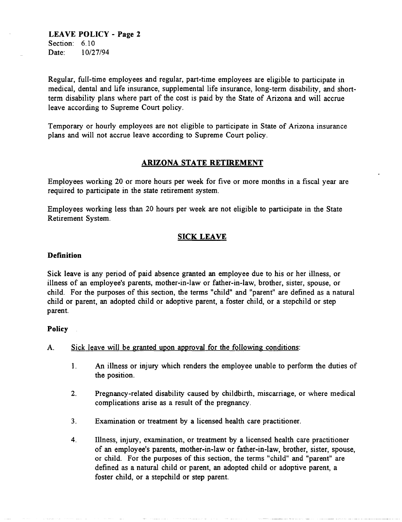# **LEAVE POLICY - Page 2**  Section: 6.10

Date: 10/27/94

Regular, full-time employees and regular, part-time employees are eligible to participate in medical, dental and life insurance, supplemental life insurance, long-term disability, and shortterm disability plans where part of the cost is paid by the State of Arizona and will accrue leave according to Supreme Court policy.

Temporary or hourly employees are not eligible to participate in State of Arizona insurance plans and will not accrue leave according to Supreme Court policy.

# **ARIZONA STATE RETIREMENT**

Employees working 20 or more hours per week for five or more months in a fiscal year are required to participate in the state retirement system.

Employees working less than 20 hours per week are not eligible to participate in the State Retirement System.

# **SICK LEAVE**

## **Definition**

Sick leave is any period of paid absence granted an employee due to his or her illness, or illness of an employee's parents, mother-in-law or father-in-law, brother, sister, spouse, or child. For the purposes of this section, the terms "child" and "parent" are defined as a natural child or parent, an adopted child or adoptive parent, a foster child, or a stepchild or step parent.

## **Policy**

- A. Sick leave will be granted upon approval for the following conditions:
	- 1. An illness or injury which renders the employee unable to perform the duties of the position.
	- 2. Pregnancy-related disability caused by childbirth, miscarriage, or where medical complications arise as a result of the pregnancy.
	- 3. Examination or treatment by a licensed health care practitioner.
	- 4. Illness, injury, examination, or treatment by a licensed health care practitioner of an employee's parents, mother-in-law or father-in-law, brother, sister, spouse, or child. For the purposes of this section, the terms "child" and "parent" are defined as a natural child or parent, an adopted child or adoptive parent, a foster child, or a stepchild or step parent.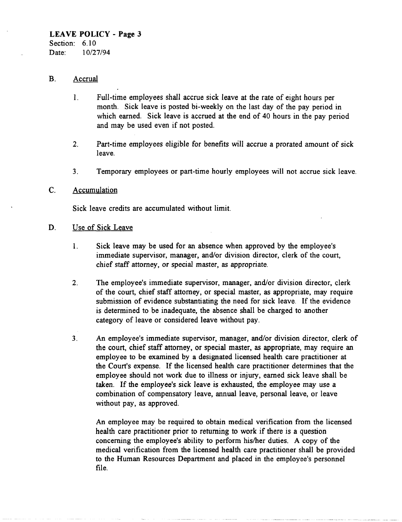Section: 6.10 Date: 10/27/94

## B. Accrual

- 1. Full-time employees shall accrue sick leave at the rate of eight hours per month. Sick leave is posted bi-weekly on the last day of the pay period in which earned. Sick leave is accrued at the end of 40 hours in the pay period and may be used even if not posted.
- 2. Part-time employees eligible for benefits will accrue a prorated amount of sick leave.
- 3. Temporary employees or part-time hourly employees will not accrue sick leave.

## C. Accumulation

Sick leave credits are accumulated without limit.

- D. Use of Sick Leave
	- 1. Sick leave may be used for an absence when approved by the employee's immediate supervisor, manager, and/or division director, clerk of the court, chief staff attorney, or special master, as appropriate.
	- 2. The employee's immediate supervisor, manager, and/or division director, clerk of the court, chief staff attorney, or special master, as appropriate, may require submission of evidence substantiating the need for sick leave. If the evidence is determined to be inadequate, the absence shall be charged to another category of leave or considered leave without pay.
	- 3. An employee's immediate supervisor, manager, and/or division director, clerk of the court, chief staff attorney, or special master, as appropriate, may require an employee to be examined by a designated licensed health care practitioner at the Court's expense. If the licensed health care practitioner determines that the employee should not work due to illness or injury, earned sick leave shall be taken. If the employee's sick leave is exhausted, the employee may use a combination of compensatory leave, annual leave, personal leave, or leave without pay, as approved.

An employee may be required to obtain medical verification from the licensed health care practitioner prior to returning to work if there is a question concerning the employee's ability to perform his/her duties. A copy of the medical verification from the licensed health care practitioner shall be provided to the Human Resources Department and placed in the employee's personnel file.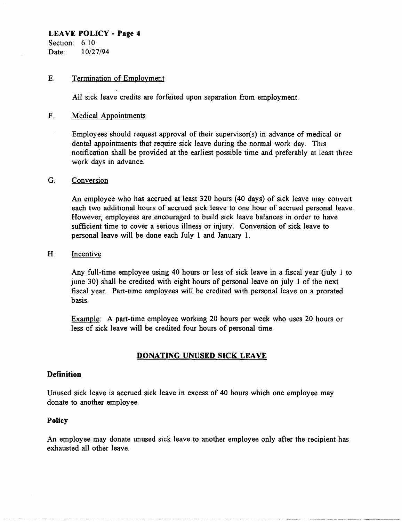Section: 6.10 Date: 10/27/94

### E. Termination of Employment

All sick leave credits are forfeited upon separation from employment.

### F. Medical Appointments

Employees should request approval of their supervisor(s) in advance of medical or dental appointments that require sick leave during the normal work day. This notification shall be provided at the earliest possible time and preferably at least three work days in advance.

#### G. Conversion

An employee who has accrued at least 320 hours (40 days) of sick leave may convert each two additional hours of accrued sick leave to one hour of accrued personal leave. However, employees are encouraged to build sick leave balances in order to have sufficient time to cover a serious illness or injury. Conversion of sick leave to personal leave will be done each July 1 and January 1.

#### H. Incentive

Any full-time employee using 40 hours or less of sick leave in a fiscal year (july 1 to june 30) shall be credited with eight hours of personal leave on july 1 of the next fiscal year. Part-time employees will be credited with personal leave on a prorated basis.

Example: A part-time employee working 20 hours per week who uses 20 hours or less of sick leave will be credited four hours of personal time.

## **DONATING UNUSED SICK LEAVE**

## **Definition**

Unused sick leave is accrued sick leave in excess of 40 hours which one employee may donate to another employee.

#### **Policy**

An employee may donate unused sick leave to another employee only after the recipient has exhausted all other leave.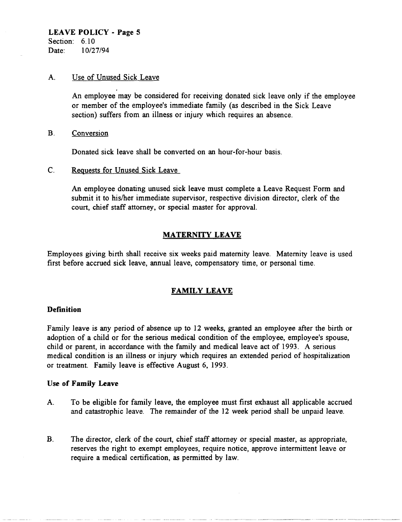#### A. Use of Unused Sick Leave

An employee may be considered for receiving donated sick leave only if the employee or member of the employee's immediate family (as described in the Sick Leave section) suffers from an illness or injury which requires an absence.

B. Conversion

Donated sick leave shall be converted on an hour-for-hour basis.

C. Requests for Unused Sick Leave

An employee donating unused sick leave must complete a Leave Request Form and submit it to hislher immediate supervisor, respective division director, clerk of the court, chief staff attorney, or special master for approval.

## MATERNITY LEAVE

Employees giving birth shall receive six weeks paid maternity leave. Maternity leave is used first before accrued sick leave, annual leave, compensatory time, or personal time.

#### FAMILY LEAVE

#### **Definition**

Family leave is any period of absence up to 12 weeks, granted an employee after the birth or adoption of a child or for the serious medical condition of the employee, employee's spouse, child or parent, in accordance with the family and medical leave act of 1993. A serious medical condition is an illness or injury which requires an extended period of hospitalization or treatment. Family leave is effective August 6, 1993.

#### Use of Family Leave

- A. To be eligible for family leave, the employee must first exhaust all applicable accrued and catastrophic leave. The remainder of the 12 week period shall be unpaid leave.
- B. The director, clerk of the court, chief staff attorney or special master, as appropriate, reserves the right to exempt employees, require notice, approve intermittent leave or require a medical certification, as permitted by law.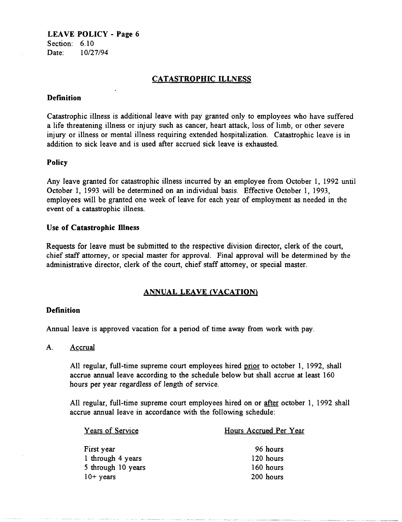Section: 6.10 Date: 10/27/94

# CATASTROPHIC ILLNESS

## **Definition**

Catastrophic illness is additional leave with pay granted only to employees who have suffered a life threatening illness or injury such as cancer, heart attack, loss of limb, or other severe injury or illness or mental illness requiring extended hospitalization. Catastrophic leave is in addition to sick leave and is used after accrued sick leave is exhausted.

### Policy

Any leave granted for catastrophic illness incurred by an employee from October 1, 1992 until October 1, 1993 will be determined on an individual basis. Effective October 1, 1993, employees will be granted one week of leave for each year of employment as needed in the event of a catastrophic illness.

### Use of Catastrophic Illness

Requests for leave must be submitted to the respective division director, clerk of the court, chief staff attorney, or special master for approval. Final approval will be determined by the administrative director, clerk of the court, chief staff attorney, or special master.

## ANNUAL LEAVE (VACATION)

## Definition

Annual leave is approved vacation for a period of time away from work with pay.

A. Accrual

All regular, full-time supreme court employees hired prior to october 1, 1992, shall accrue annual leave according to the schedule below but shall accrue at least 160 hours per year regardless of length of service.

All regular, full-time supreme court employees hired on or after october 1, 1992 shall accrue annual leave in accordance with the following schedule:

| <b>Years of Service</b> | Hours Accrued Per Year |
|-------------------------|------------------------|
| First year              | 96 hours               |
| 1 through 4 years       | 120 hours              |
| 5 through 10 years      | 160 hours              |
| $10+$ years             | 200 hours              |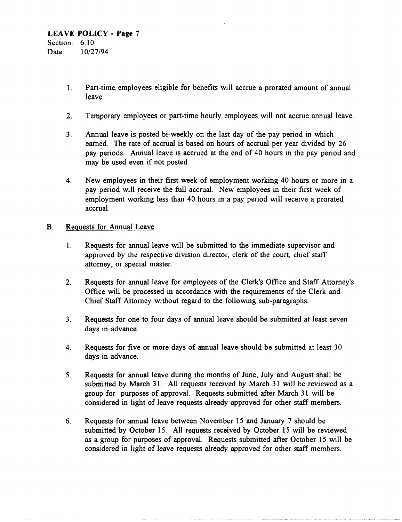- 1. Part-time. employees eligible for benefits will accrue a prorated amount of annual leave.
- 2. Temporary employees or part-time hourly employees will not accrue annual leave.
- 3. Annual leave is posted bi-weekly on the last day of the pay period in which earned. The rate of accrual is based on hours of accrual per year divided by 26 pay periods. Annual leave is accrued at the end of 40 hours in the pay period and may be used even if not posted.
- 4. New employees in their first week of employment working 40 hours or more in a pay period will receive the full accrual. New employees in their first week of employment working less than 40 hours in a pay period will receive a prorated accrual.

### B. Requests for Annual Leave

- 1. Requests for annual leave will be submitted to the immediate supervisor and approved by the respective division director, clerk of the court, chief staff attorney, or special master.
- 2. Requests for annual leave for employees of the Clerk's Office and Staff Attorney's Office will be processed in accordance with the requirements of the Clerk and Chief Staff Attorney without regard to the following sub-paragraphs.
- 3. Requests for one to four days of annual leave should be submitted at least seven days in advance.
- 4. Requests for five or more days of annual leave should be submitted at least 30 days in advance.
- 5. Requests for annual leave during the months of June, July and August shall be submitted by March 31. All requests received by March 31 will be reviewed as a group for purposes of approval. Requests submitted after March 31 will be considered in light of leave requests already approved for other staff members.
- 6. Requests for annual leave between November 15 and January 7 should be submitted by October 15. All requests received by October 15 will be reviewed as a group for purposes of approval. Requests submitted after October 15 will be considered in light of leave requests already approved for other staff members.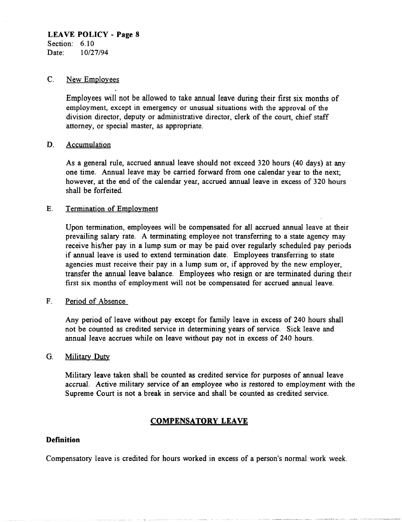#### LEAVE POLICY - Page 8 Section: 6.10

Date: 10/27/94

#### C. New Employees

Employees will not be allowed to take annual leave during their first six months of employment, except in emergency or unusual situations with the approval of the division director, deputy or administrative director, clerk of the court, chief staff attorney, or special master, as appropriate.

#### D. Accumulation

As a general rule, accrued annual leave should not exceed 320 hours (40 days) at any one time. Annual leave may be carried forward from one calendar year to the next; however, at the end of the calendar year, accrued annual leave in excess of 320 hours shall be forfeited.

### E. Termination of Employment

Upon termination, employees will be compensated for all accrued annual leave at their prevailing salary rate. A terminating employee not transferring to a state agency may receive hislher pay in a lump sum or may be paid over regularly scheduled pay periods if annual leave is used to extend termination date. Employees transferring to state agencies must receive their pay in a lump sum or, if approved by the new employer, transfer the annual leave balance. Employees who resign or are terminated during their first six months of employment will not be compensated for accrued annual leave.

## F. Period of Absence

Any period of leave without pay except for family leave in excess of 240 hours shall not be counted as credited service in determining years of service. Sick leave and annual leave accrues while on leave without pay not in excess of 240 hours.

#### G. Military Duty

Military leave taken shall be counted as credited service for purposes of annual leave accrual. Active military service of an employee who is restored to employment with the Supreme Court is not a break in service and shall be counted as credited service.

# COMPENSATORY LEAVE

# **Definition**

Compensatory leave is credited for hours worked in excess of a person's normal work week.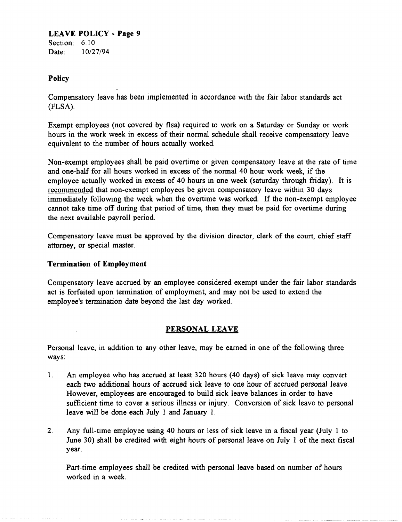## LEAVE POLICY - Page 9 Section: 6.10

Date: 10/27/94

# Policy

Compensatory leave has been implemented in accordance with the fair labor standards act (FLSA).

Exempt employees (not covered by flsa) required to work on a Saturday or Sunday or work hours in the work week in excess of their normal schedule shall receive compensatory leave equivalent to the number of hours actually worked.

Non·exempt employees shall be paid overtime or given compensatory leave at the rate of time and one· half for all hours worked in excess of the normal 40 hour work week, if the employee actually worked in excess of 40 hours in one week (saturday through friday). It is recommended that non-exempt employees be given compensatory leave within 30 days immediately following the week when the overtime was worked. If the non-exempt employee cannot take time off during that period of time, then they must be paid for overtime during the next available payroll period.

Compensatory leave must be approved by the division director, clerk of the court, chief staff attorney, or special master.

# Termination of Employment

Compensatory leave accrued by an employee considered exempt under the fair labor standards act is forfeited upon termination of employment, and may not be used to extend the employee's termination date beyond the last day worked.

# PERSONAL LEAVE

Personal leave, in addition to any other leave, may be earned in one of the following three ways:

- l. An employee who has accrued at least 320 hours (40 days) of sick leave may convert each two additional hours of accrued sick leave to one hour of accrued personal leave. However, employees are encouraged to build sick leave balances in order to have sufficient time to cover a serious illness or injury. Conversion of sick leave to personal leave will be done each July 1 and January l.
- 2. Any full-time employee using 40 hours or less of sick leave in a fiscal year (July 1 to June 30) shall be credited with eight hours of personal leave on July 1 of the next fiscal year.

Part-time employees shall be credited with personal leave based on number of hours worked in a week.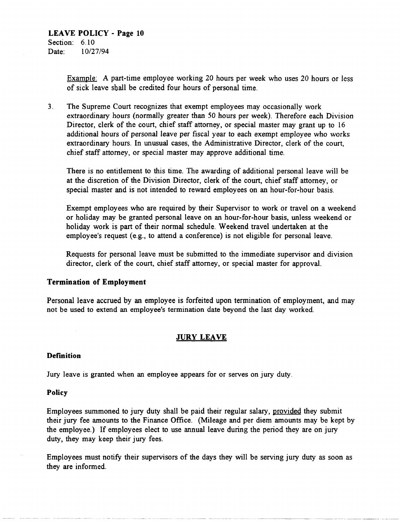Example: A part-time employee working 20 hours per week who uses 20 hours or less of sick leave shall be credited four hours of personal time.

3. The Supreme Court recognizes that exempt employees may occasionally work extraordinary hours (normally greater than 50 hours per week). Therefore each Division Director, clerk of the court, chief staff attorney, or special master may grant up to 16 additional hours of personal leave per fiscal year to each exempt employee who works extraordinary hours. In unusual cases, the Administrative Director, clerk of the court, chief staff attorney, or special master may approve additional time.

There is no entitlement to this time. The awarding of additional personal leave will be at the discretion of the Division Director, clerk of the court, chief staff attorney, or special master and is not intended to reward employees on an hour-for-hour basis.

Exempt employees who are required by their Supervisor to work or travel on a weekend or holiday may be granted personal leave on an hour-for-hour basis, unless weekend or holiday work is part of their normal schedule. Weekend travel undertaken at the employee's request (e.g., to attend a conference) is not eligible for personal leave.

Requests for personal leave must be submitted to the immediate supervisor and division director, clerk of the court, chief staff attorney, or special master for approval.

## **Termination of Employment**

Personal leave accrued by an employee is forfeited upon termination of employment, and may not be used to extend an employee's termination date beyond the last day worked.

# **JURY LEAVE**

#### **Definition**

Jury leave is granted when an employee appears for or serves on jury duty.

#### **Policy**

Employees summoned to jury duty shall be paid their regular salary, provided they submit their jury fee amounts to the Finance Office. (Mileage and per diem amounts may be kept by the employee.) If employees elect to use annual leave during the period they are on jury duty, they may keep their jury fees.

Employees must notify their supervisors of the days they will be serving jury duty as soon as they are informed.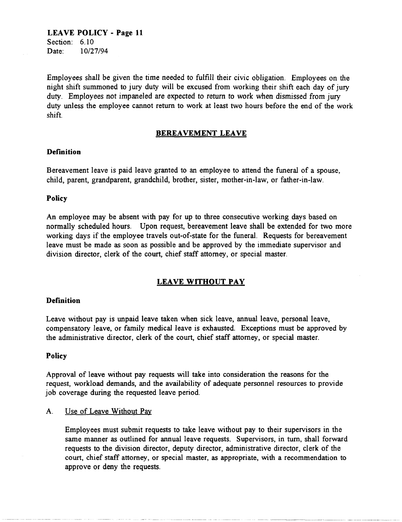**LEAVE POLICY - Page 11**  Section: 6.10 Date: *10/27/94* 

Employees shall be given the time needed to fulfill their civic obligation. Employees on the night shift summoned to jury duty will be excused from working their shift each day of jury duty. Employees not impaneled are expected to return to work when dismissed from jury duty unless the employee cannot return to work at least two hours before the end of the work shift.

#### **BEREAVEMENT LEAVE**

#### **Definition**

Bereavement leave is paid leave granted to an employee to attend the funeral of a spouse, child, parent, grandparent, grandchild, brother, sister, mother-in-law, or father-in-law.

#### **Policy**

An employee may be absent with pay for up to three consecutive working days based on normally scheduled hours. Upon request, bereavement leave shall be extended for two more working days if the employee travels out-of-state for the funeral. Requests for bereavement leave must be made as soon as possible and be approved by the immediate supervisor and division director, clerk of the court, chief staff attorney, or special master.

#### **LEAVE WITHOUT PAY**

#### **Definition**

Leave without pay is unpaid leave taken when sick leave, annual leave, personal leave, compensatory leave, or family medical leave is exhausted. Exceptions must be approved by the administrative director, clerk of the court, chief staff attorney, or special master.

#### **Policy**

Approval of leave without pay requests will take into consideration the reasons for the request, workload demands, and the availability of adequate personnel resources to provide job coverage during the requested leave period.

#### A. Use of Leave Without Pay

Employees must submit requests to take leave without pay to their supervisors in the same manner as outlined for annual leave requests. Supervisors, in tum, shall forward requests to the division director, deputy director, administrative director, clerk of the court, chief staff attorney, or special master, as appropriate, with a recommendation to approve or deny the requests.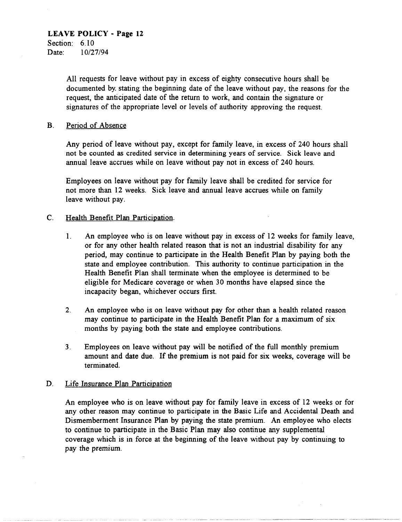# **LEAVE POLICY - Page 12**  Section: 6.10

Date: 10/27/94

All requests for leave without pay in excess of eighty consecutive hours shall be documented by. stating the beginning date of the leave without pay, the reasons for the request, the anticipated date of the return to work, and contain the signature or signatures of the appropriate level or levels of authority approving the request.

### B. Period of Absence

Any period of leave without pay, except for family leave, in excess of 240 hours shall not be counted as credited service in determining years of service. Sick leave and annual leave accrues while on leave without pay not in excess of 240 hours.

Employees on leave without pay for family leave shall be credited for service for not more than 12 weeks. Sick leave and annual leave accrues while on family leave without pay.

### c. Health Benefit Plan Participation.

- 1. An employee who is on leave without pay in excess of 12 weeks for family leave, or for any other health related reason that is not an industrial disability for any period, may continue to participate in the Health Benefit Plan by paying both the state and employee contribution. This authority to continue participation in the Health Benefit Plan shall terminate when the employee is determined to be eligible for Medicare coverage or when 30 months have elapsed since the incapacity began, whichever occurs first.
- 2. An employee who is on leave without pay for other than a health related reason may continue to participate in the Health Benefit Plan for a maximum of six months by paying both the state and employee contributions.
- 3. Employees on leave without pay will be notified of the full monthly premium amount and date due. If the premium is not paid for six weeks, coverage will be terminated.

## D. Life Insurance Plan Participation

An employee who is on leave without pay for family leave in excess of 12 weeks or for any other reason may continue to participate in the Basic Life and Accidental Death and Dismemberment Insurance Plan by paying the state premium. An employee who elects to continue to participate in the Basic Plan may also continue any supplemental coverage which is in force at the beginning of the leave without pay by continuing to pay the premium.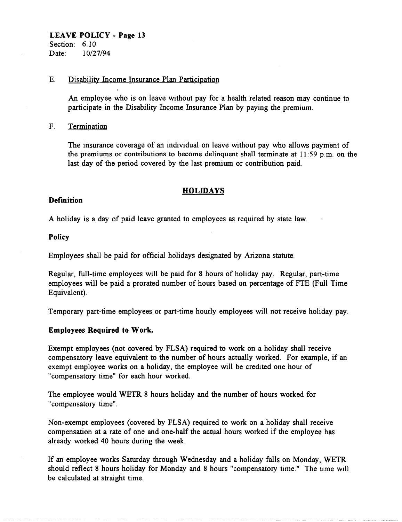Section: 6.10 Date: 10/27/94

#### E. Disability Income Insurance Plan Participation

An employee who is on leave without pay for a health related reason may continue to participate in the Disability Income Insurance Plan by paying the premium.

### F. Termination

The insurance coverage of an individual on leave without pay who allows payment of the premiums or contributions to become delinquent shall terminate at  $11:59$  p.m. on the last day of the period covered by the last premium or contribution paid.

## **HOLIDAYS**

### **Definition**

A holiday is a day of paid leave granted to employees as required by state law.

### Policy

Employees shall be paid for official holidays designated by Arizona statute.

Regular, full-time employees will be paid for 8 hours of holiday pay. Regular, part-time employees will be paid a prorated number of hours based on percentage of FTE (Full Time Equivalent).

Temporary part-time employees or part-time hourly employees will not receive holiday pay.

## Employees Required to Work.

Exempt employees (not covered by FLSA) required to work on a holiday shall receive compensatory leave equivalent to the number of hours actually worked. For example, if an exempt employee works on a holiday, the employee will be credited one hour of "compensatory time" for each hour worked.

The employee would WETR 8 hours holiday and the number of hours worked for "compensatory time".

Non-exempt employees (covered by FLSA) required to work on a holiday shall receive compensation at a rate of one and one-half the actual hours worked if the employee has already worked 40 hours during the week.

If an employee works Saturday through Wednesday and a holiday falls on Monday, WETR should reflect 8 hours holiday for Monday and 8 hours "compensatory time." The time will be calculated at straight time.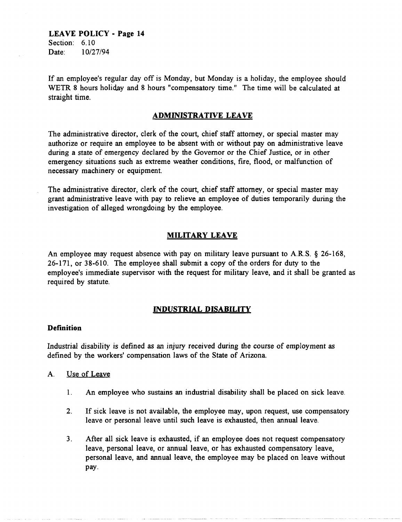**LEA VE POLICY - Page 14**  Section: 6.10 Date: 10/27/94

If an employee's regular day off is Monday, but Monday is a holiday, the employee should WETR 8 hours holiday and 8 hours "compensatory time." The time will be calculated at straight time.

#### **ADMINISTRATIVE LEAVE**

The administrative director, clerk of the court, chief staff attorney, or special master may authorize or require an employee to be absent with or without pay on administrative leave during a state of emergency declared by the Governor or the Chief Justice, or in other emergency situations such as extreme weather conditions, fire, flood, or malfunction of necessary machinery or equipment.

The administrative director, clerk of the court, chief staff attorney, or special master may grant administrative leave with pay to relieve an employee of duties temporarily during the investigation of alleged wrongdoing by the employee.

#### **MILITARY LEAVE**

An employee may request absence with pay on military leave pursuant to A.R.S. § 26-168, 26-171, or 38-610. The employee shall submit a copy of the orders for duty to the employee's immediate supervisor with the request for military leave, and it shall be granted as required by statute.

#### **INDUSTRIAL DISABILITY**

#### **Definition**

Industrial disability is defined as an injury received during the course of employment as defined by the workers' compensation laws of the State of Arizona.

#### A. Use of Leave

- 1. An employee who sustains an industrial disability shall be placed on sick leave.
- 2. If sick leave is not available, the employee may, upon request, use compensatory leave or personal leave until such leave is exhausted, then annual leave.
- 3. After all sick leave is exhausted, if an employee does not request compensatory leave, personal leave, or annual leave, or has exhausted compensatory leave, personal leave, and annual leave, the employee may be placed on leave without pay.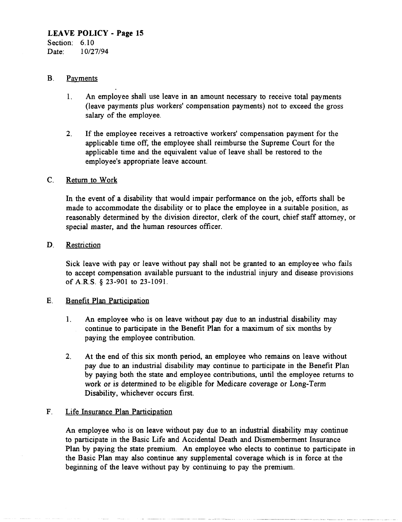Date: 10/27/94

#### B. Payments

- 1. An employee shall use leave in an amount necessary to receive total payments (leave payments plus workers' compensation payments) not to exceed the gross salary of the employee.
- 2. If the employee receives a retroactive workers' compensation payment for the applicable time off, the employee shall reimburse the Supreme Court for the applicable time and the equivalent value of leave shall be restored to the employee's appropriate leave account.

### C. Return to Work

In the event of a disability that would impair performance on the job, efforts shall be made to accommodate the disability or to place the employee in a suitable position, as reasonably determined by the division director, clerk of the court, chief staff attorney, or special master, and the human resources officer.

### D. Restriction

Sick leave with payor leave without pay shall not be granted to an employee who fails to accept compensation available pursuant to the industrial injury and disease provisions of A.R.S. § 23-901 to 23-1091.

## E. Benefit Plan Participation

- 1. An employee who is on leave without pay due to an industrial disability may continue to participate in the Benefit Plan for a maximum of six months by paying the employee contribution.
- 2. At the end of this six month period, an employee who remains on leave without pay due to an industrial disability may continue to participate in the Benefit Plan by paying both the state and employee contributions, until the employee returns to work or is determined to be eligible for Medicare coverage or Long-Term Disability, whichever occurs first.

## F. Life Insurance Plan Participation

An employee who is on leave without pay due to an industrial disability may continue to participate in the Basic Life and Accidental Death and Dismemberment Insurance Plan by paying the state premium. An employee who elects to continue to participate in the Basic Plan may also continue any supplemental coverage which is in force at the beginning of the leave without pay by continuing to pay the premium.